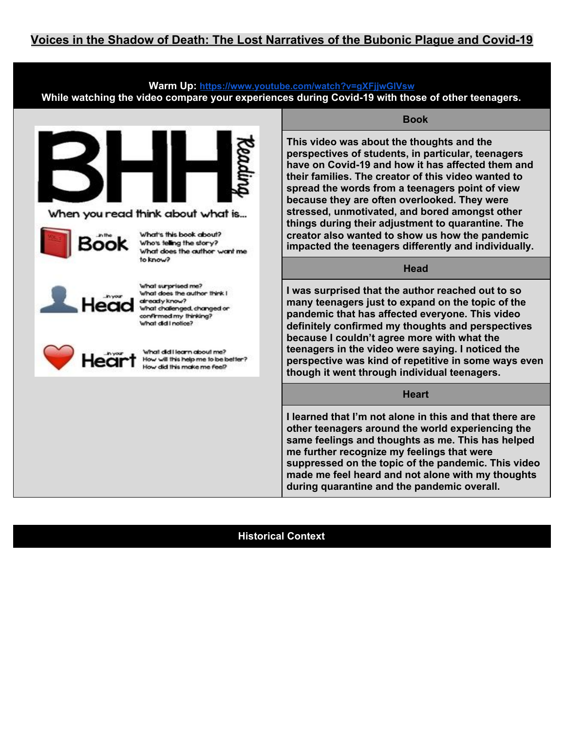## **Warm Up: <https://www.youtube.com/watch?v=gXFjjwGlVsw> While watching the video compare your experiences during Covid-19 with those of other teenagers.**



When you read think about what is...



What's this book about? Who's telling the story? What does the author want me to know?



What surprised me? What does the author think I already know? What challenged, changed or confirmed my thinking? What did I notice?



What did Hearn about me? How will this help me to be better? How did this make me feel?

#### **Book**

**This video was about the thoughts and the perspectives of students, in particular, teenagers have on Covid-19 and how it has affected them and their families. The creator of this video wanted to spread the words from a teenagers point of view because they are often overlooked. They were stressed, unmotivated, and bored amongst other things during their adjustment to quarantine. The creator also wanted to show us how the pandemic impacted the teenagers differently and individually.**

#### **Head**

**I was surprised that the author reached out to so many teenagers just to expand on the topic of the pandemic that has affected everyone. This video definitely confirmed my thoughts and perspectives because I couldn't agree more with what the teenagers in the video were saying. I noticed the perspective was kind of repetitive in some ways even though it went through individual teenagers.**

## **Heart**

**I learned that I'm not alone in this and that there are other teenagers around the world experiencing the same feelings and thoughts as me. This has helped me further recognize my feelings that were suppressed on the topic of the pandemic. This video made me feel heard and not alone with my thoughts during quarantine and the pandemic overall.**

## **Historical Context**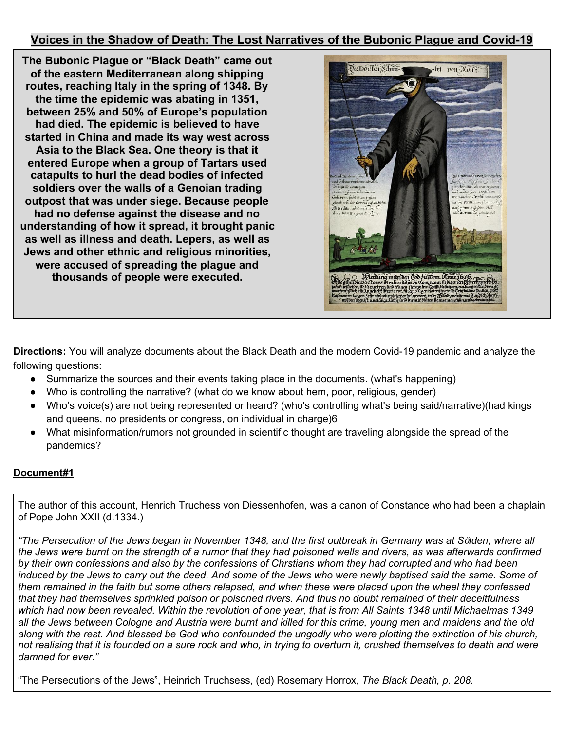**The Bubonic Plague or "Black Death" came out of the eastern Mediterranean along shipping routes, reaching Italy in the spring of 1348. By the time the epidemic was abating in 1351, between 25% and 50% of Europe's population had died. The epidemic is believed to have started in China and made its way west across Asia to the Black Sea. One theory is that it entered Europe when a group of Tartars used catapults to hurl the dead bodies of infected soldiers over the walls of a Genoian trading outpost that was under siege. Because people had no defense against the disease and no understanding of how it spread, it brought panic as well as illness and death. Lepers, as well as Jews and other ethnic and religious minorities, were accused of spreading the plague and thousands of people were executed.**



**Directions:** You will analyze documents about the Black Death and the modern Covid-19 pandemic and analyze the following questions:

- Summarize the sources and their events taking place in the documents. (what's happening)
- Who is controlling the narrative? (what do we know about hem, poor, religious, gender)
- Who's voice(s) are not being represented or heard? (who's controlling what's being said/narrative)(had kings and queens, no presidents or congress, on individual in charge)6
- What misinformation/rumors not grounded in scientific thought are traveling alongside the spread of the pandemics?

## **Document#1**

The author of this account, Henrich Truchess von Diessenhofen, was a canon of Constance who had been a chaplain of Pope John XXII (d.1334.)

"The Persecution of the Jews began in November 1348, and the first outbreak in Germany was at Sölden, where all the Jews were burnt on the strength of a rumor that they had poisoned wells and rivers, as was afterwards confirmed by their own confessions and also by the confessions of Chrstians whom they had corrupted and who had been induced by the Jews to carry out the deed. And some of the Jews who were newly baptised said the same. Some of them remained in the faith but some others relapsed, and when these were placed upon the wheel they confessed that they had themselves sprinkled poison or poisoned rivers. And thus no doubt remained of their deceitfulness which had now been revealed. Within the revolution of one year, that is from All Saints 1348 until Michaelmas 1349 all the Jews between Cologne and Austria were burnt and killed for this crime, young men and maidens and the old along with the rest. And blessed be God who confounded the ungodly who were plotting the extinction of his church, not realising that it is founded on a sure rock and who, in trying to overturn it, crushed themselves to death and were *damned for ever."*

"The Persecutions of the Jews", Heinrich Truchsess, (ed) Rosemary Horrox, *The Black Death, p. 208.*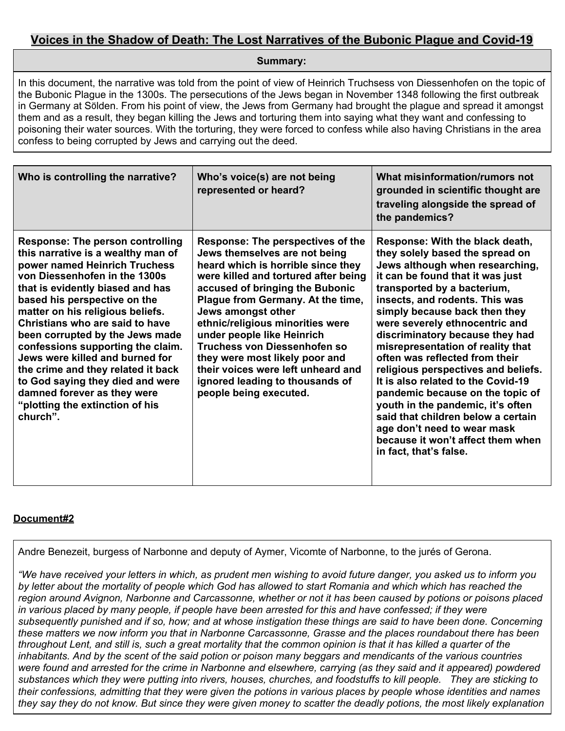**Summary:**

In this document, the narrative was told from the point of view of Heinrich Truchsess von Diessenhofen on the topic of the Bubonic Plague in the 1300s. The persecutions of the Jews began in November 1348 following the first outbreak in Germany at Sӧlden. From his point of view, the Jews from Germany had brought the plague and spread it amongst them and as a result, they began killing the Jews and torturing them into saying what they want and confessing to poisoning their water sources. With the torturing, they were forced to confess while also having Christians in the area confess to being corrupted by Jews and carrying out the deed.

| Who is controlling the narrative?                                                                                                                                                                                                                                                                                                                                                                                                                                                                                                                             | Who's voice(s) are not being<br>represented or heard?                                                                                                                                                                                                                                                                                                                                                                                                                                        | What misinformation/rumors not<br>grounded in scientific thought are<br>traveling alongside the spread of<br>the pandemics?                                                                                                                                                                                                                                                                                                                                                                                                                                                                                                                                                       |
|---------------------------------------------------------------------------------------------------------------------------------------------------------------------------------------------------------------------------------------------------------------------------------------------------------------------------------------------------------------------------------------------------------------------------------------------------------------------------------------------------------------------------------------------------------------|----------------------------------------------------------------------------------------------------------------------------------------------------------------------------------------------------------------------------------------------------------------------------------------------------------------------------------------------------------------------------------------------------------------------------------------------------------------------------------------------|-----------------------------------------------------------------------------------------------------------------------------------------------------------------------------------------------------------------------------------------------------------------------------------------------------------------------------------------------------------------------------------------------------------------------------------------------------------------------------------------------------------------------------------------------------------------------------------------------------------------------------------------------------------------------------------|
| <b>Response: The person controlling</b><br>this narrative is a wealthy man of<br>power named Heinrich Truchess<br>von Diessenhofen in the 1300s<br>that is evidently biased and has<br>based his perspective on the<br>matter on his religious beliefs.<br>Christians who are said to have<br>been corrupted by the Jews made<br>confessions supporting the claim.<br>Jews were killed and burned for<br>the crime and they related it back<br>to God saying they died and were<br>damned forever as they were<br>"plotting the extinction of his<br>church". | <b>Response: The perspectives of the</b><br>Jews themselves are not being<br>heard which is horrible since they<br>were killed and tortured after being<br>accused of bringing the Bubonic<br>Plague from Germany. At the time,<br>Jews amongst other<br>ethnic/religious minorities were<br>under people like Heinrich<br>Truchess von Diessenhofen so<br>they were most likely poor and<br>their voices were left unheard and<br>ignored leading to thousands of<br>people being executed. | Response: With the black death,<br>they solely based the spread on<br>Jews although when researching,<br>it can be found that it was just<br>transported by a bacterium,<br>insects, and rodents. This was<br>simply because back then they<br>were severely ethnocentric and<br>discriminatory because they had<br>misrepresentation of reality that<br>often was reflected from their<br>religious perspectives and beliefs.<br>It is also related to the Covid-19<br>pandemic because on the topic of<br>youth in the pandemic, it's often<br>said that children below a certain<br>age don't need to wear mask<br>because it won't affect them when<br>in fact, that's false. |

## **Document#2**

Andre Benezeit, burgess of Narbonne and deputy of Aymer, Vicomte of Narbonne, to the jurés of Gerona.

"We have received your letters in which, as prudent men wishing to avoid future danger, you asked us to inform you by letter about the mortality of people which God has allowed to start Romania and which which has reached the region around Avignon, Narbonne and Carcassonne, whether or not it has been caused by potions or poisons placed in various placed by many people, if people have been arrested for this and have confessed: if they were subsequently punished and if so, how: and at whose instigation these things are said to have been done. Concerning these matters we now inform you that in Narbonne Carcassonne. Grasse and the places roundabout there has been throughout Lent, and still is, such a great mortality that the common opinion is that it has killed a quarter of the inhabitants. And by the scent of the said potion or poison many beggars and mendicants of the various countries were found and arrested for the crime in Narbonne and elsewhere, carrying (as they said and it appeared) powdered substances which they were putting into rivers, houses, churches, and foodstuffs to kill people. They are sticking to their confessions, admitting that they were given the potions in various places by people whose identities and names they say they do not know. But since they were given money to scatter the deadly potions, the most likely explanation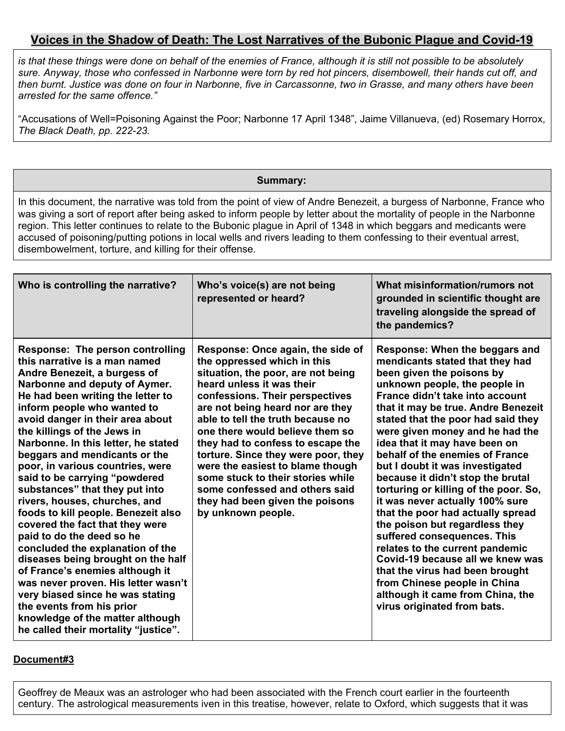is that these things were done on behalf of the enemies of France, although it is still not possible to be absolutely sure. Anyway, those who confessed in Narbonne were torn by red hot pincers, disembowell, their hands cut off, and then burnt. Justice was done on four in Narbonne, five in Carcassonne, two in Grasse, and many others have been *arrested for the same offence."*

"Accusations of Well=Poisoning Against the Poor; Narbonne 17 April 1348", Jaime Villanueva, (ed) Rosemary Horrox, *The Black Death, pp. 222-23.*

## **Summary:**

In this document, the narrative was told from the point of view of Andre Benezeit, a burgess of Narbonne, France who was giving a sort of report after being asked to inform people by letter about the mortality of people in the Narbonne region. This letter continues to relate to the Bubonic plague in April of 1348 in which beggars and medicants were accused of poisoning/putting potions in local wells and rivers leading to them confessing to their eventual arrest, disembowelment, torture, and killing for their offense.

| Who is controlling the narrative?                                                                                                                                                                                                                                                                                                                                                                                                                                                                                                                                                                                                                                                                                                                                                                                                                                                                 | Who's voice(s) are not being<br>represented or heard?                                                                                                                                                                                                                                                                                                                                                                                                                                                                              | What misinformation/rumors not<br>grounded in scientific thought are<br>traveling alongside the spread of<br>the pandemics?                                                                                                                                                                                                                                                                                                                                                                                                                                                                                                                                                                                                                                                                                                   |
|---------------------------------------------------------------------------------------------------------------------------------------------------------------------------------------------------------------------------------------------------------------------------------------------------------------------------------------------------------------------------------------------------------------------------------------------------------------------------------------------------------------------------------------------------------------------------------------------------------------------------------------------------------------------------------------------------------------------------------------------------------------------------------------------------------------------------------------------------------------------------------------------------|------------------------------------------------------------------------------------------------------------------------------------------------------------------------------------------------------------------------------------------------------------------------------------------------------------------------------------------------------------------------------------------------------------------------------------------------------------------------------------------------------------------------------------|-------------------------------------------------------------------------------------------------------------------------------------------------------------------------------------------------------------------------------------------------------------------------------------------------------------------------------------------------------------------------------------------------------------------------------------------------------------------------------------------------------------------------------------------------------------------------------------------------------------------------------------------------------------------------------------------------------------------------------------------------------------------------------------------------------------------------------|
| Response: The person controlling<br>this narrative is a man named<br>Andre Benezeit, a burgess of<br>Narbonne and deputy of Aymer.<br>He had been writing the letter to<br>inform people who wanted to<br>avoid danger in their area about<br>the killings of the Jews in<br>Narbonne. In this letter, he stated<br>beggars and mendicants or the<br>poor, in various countries, were<br>said to be carrying "powdered<br>substances" that they put into<br>rivers, houses, churches, and<br>foods to kill people. Benezeit also<br>covered the fact that they were<br>paid to do the deed so he<br>concluded the explanation of the<br>diseases being brought on the half<br>of France's enemies although it<br>was never proven. His letter wasn't<br>very biased since he was stating<br>the events from his prior<br>knowledge of the matter although<br>he called their mortality "justice". | Response: Once again, the side of<br>the oppressed which in this<br>situation, the poor, are not being<br>heard unless it was their<br>confessions. Their perspectives<br>are not being heard nor are they<br>able to tell the truth because no<br>one there would believe them so<br>they had to confess to escape the<br>torture. Since they were poor, they<br>were the easiest to blame though<br>some stuck to their stories while<br>some confessed and others said<br>they had been given the poisons<br>by unknown people. | Response: When the beggars and<br>mendicants stated that they had<br>been given the poisons by<br>unknown people, the people in<br>France didn't take into account<br>that it may be true. Andre Benezeit<br>stated that the poor had said they<br>were given money and he had the<br>idea that it may have been on<br>behalf of the enemies of France<br>but I doubt it was investigated<br>because it didn't stop the brutal<br>torturing or killing of the poor. So,<br>it was never actually 100% sure<br>that the poor had actually spread<br>the poison but regardless they<br>suffered consequences. This<br>relates to the current pandemic<br>Covid-19 because all we knew was<br>that the virus had been brought<br>from Chinese people in China<br>although it came from China, the<br>virus originated from bats. |

#### **Document#3**

Geoffrey de Meaux was an astrologer who had been associated with the French court earlier in the fourteenth century. The astrological measurements iven in this treatise, however, relate to Oxford, which suggests that it was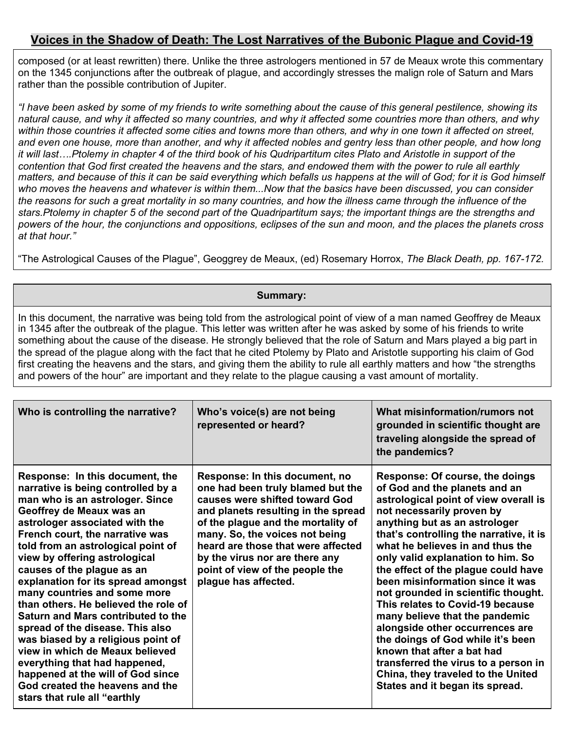composed (or at least rewritten) there. Unlike the three astrologers mentioned in 57 de Meaux wrote this commentary on the 1345 conjunctions after the outbreak of plague, and accordingly stresses the malign role of Saturn and Mars rather than the possible contribution of Jupiter.

"I have been asked by some of my friends to write something about the cause of this general pestilence, showing its natural cause, and why it affected so many countries, and why it affected some countries more than others, and why within those countries it affected some cities and towns more than others, and why in one town it affected on street, and even one house, more than another, and why it affected nobles and gentry less than other people, and how long it will last....Ptolemy in chapter 4 of the third book of his Qudripartitum cites Plato and Aristotle in support of the contention that God first created the heavens and the stars, and endowed them with the power to rule all earthly matters, and because of this it can be said everything which befalls us happens at the will of God; for it is God himself who moves the heavens and whatever is within them...Now that the basics have been discussed, you can consider the reasons for such a great mortality in so many countries, and how the illness came through the influence of the stars. Ptolemy in chapter 5 of the second part of the Quadripartitum says; the important things are the strengths and powers of the hour, the conjunctions and oppositions, eclipses of the sun and moon, and the places the planets cross *at that hour."*

"The Astrological Causes of the Plague", Geoggrey de Meaux, (ed) Rosemary Horrox, *The Black Death, pp. 167-172.*

### **Summary:**

In this document, the narrative was being told from the astrological point of view of a man named Geoffrey de Meaux in 1345 after the outbreak of the plague. This letter was written after he was asked by some of his friends to write something about the cause of the disease. He strongly believed that the role of Saturn and Mars played a big part in the spread of the plague along with the fact that he cited Ptolemy by Plato and Aristotle supporting his claim of God first creating the heavens and the stars, and giving them the ability to rule all earthly matters and how "the strengths and powers of the hour" are important and they relate to the plague causing a vast amount of mortality.

| Who is controlling the narrative?                                                                                                                                                                                                                                                                                                                                                                                                                                                                                                                                                                                                                                                                                        | Who's voice(s) are not being<br>represented or heard?                                                                                                                                                                                                                                                                                                   | What misinformation/rumors not<br>grounded in scientific thought are<br>traveling alongside the spread of<br>the pandemics?                                                                                                                                                                                                                                                                                                                                                                                                                                                                                                                                                                                |
|--------------------------------------------------------------------------------------------------------------------------------------------------------------------------------------------------------------------------------------------------------------------------------------------------------------------------------------------------------------------------------------------------------------------------------------------------------------------------------------------------------------------------------------------------------------------------------------------------------------------------------------------------------------------------------------------------------------------------|---------------------------------------------------------------------------------------------------------------------------------------------------------------------------------------------------------------------------------------------------------------------------------------------------------------------------------------------------------|------------------------------------------------------------------------------------------------------------------------------------------------------------------------------------------------------------------------------------------------------------------------------------------------------------------------------------------------------------------------------------------------------------------------------------------------------------------------------------------------------------------------------------------------------------------------------------------------------------------------------------------------------------------------------------------------------------|
| Response: In this document, the<br>narrative is being controlled by a<br>man who is an astrologer. Since<br>Geoffrey de Meaux was an<br>astrologer associated with the<br>French court, the narrative was<br>told from an astrological point of<br>view by offering astrological<br>causes of the plague as an<br>explanation for its spread amongst<br>many countries and some more<br>than others. He believed the role of<br>Saturn and Mars contributed to the<br>spread of the disease. This also<br>was biased by a religious point of<br>view in which de Meaux believed<br>everything that had happened,<br>happened at the will of God since<br>God created the heavens and the<br>stars that rule all "earthly | Response: In this document, no<br>one had been truly blamed but the<br>causes were shifted toward God<br>and planets resulting in the spread<br>of the plague and the mortality of<br>many. So, the voices not being<br>heard are those that were affected<br>by the virus nor are there any<br>point of view of the people the<br>plague has affected. | Response: Of course, the doings<br>of God and the planets and an<br>astrological point of view overall is<br>not necessarily proven by<br>anything but as an astrologer<br>that's controlling the narrative, it is<br>what he believes in and thus the<br>only valid explanation to him. So<br>the effect of the plague could have<br>been misinformation since it was<br>not grounded in scientific thought.<br>This relates to Covid-19 because<br>many believe that the pandemic<br>alongside other occurrences are<br>the doings of God while it's been<br>known that after a bat had<br>transferred the virus to a person in<br>China, they traveled to the United<br>States and it began its spread. |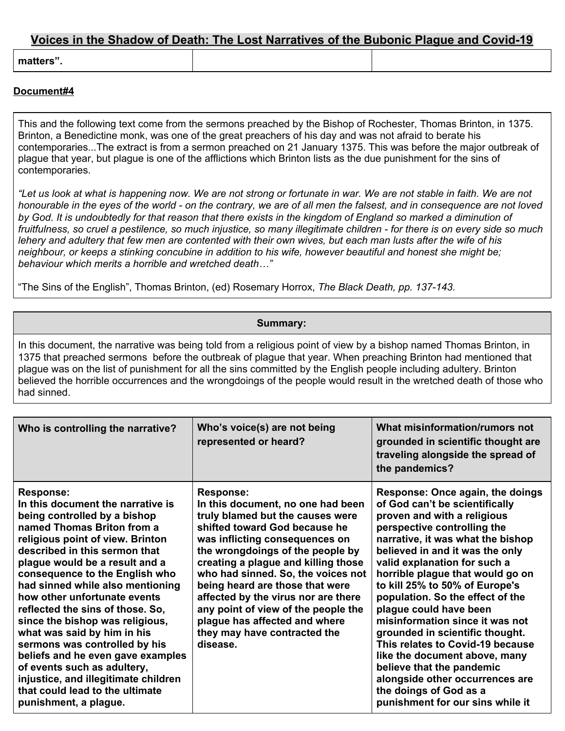**matters".**

#### **Document#4**

This and the following text come from the sermons preached by the Bishop of Rochester, Thomas Brinton, in 1375. Brinton, a Benedictine monk, was one of the great preachers of his day and was not afraid to berate his contemporaries...The extract is from a sermon preached on 21 January 1375. This was before the major outbreak of plague that year, but plague is one of the afflictions which Brinton lists as the due punishment for the sins of contemporaries.

"Let us look at what is happening now. We are not strong or fortunate in war. We are not stable in faith. We are not honourable in the eyes of the world - on the contrary, we are of all men the falsest, and in consequence are not loved by God. It is undoubtedly for that reason that there exists in the kingdom of England so marked a diminution of fruitfulness, so cruel a pestilence, so much injustice, so many illegitimate children - for there is on every side so much lehery and adultery that few men are contented with their own wives, but each man lusts after the wife of his neighbour, or keeps a stinking concubine in addition to his wife, however beautiful and honest she might be; *behaviour which merits a horrible and wretched death…"*

"The Sins of the English", Thomas Brinton, (ed) Rosemary Horrox, *The Black Death, pp. 137-143.*

#### **Summary:**

In this document, the narrative was being told from a religious point of view by a bishop named Thomas Brinton, in 1375 that preached sermons before the outbreak of plague that year. When preaching Brinton had mentioned that plague was on the list of punishment for all the sins committed by the English people including adultery. Brinton believed the horrible occurrences and the wrongdoings of the people would result in the wretched death of those who had sinned.

| Who is controlling the narrative?                                                                                                                                                                                                                                                                                                                                                                                                                                                                                                                                                                                                               | Who's voice(s) are not being<br>represented or heard?                                                                                                                                                                                                                                                                                                                                                                                                                       | What misinformation/rumors not<br>grounded in scientific thought are<br>traveling alongside the spread of<br>the pandemics?                                                                                                                                                                                                                                                                                                                                                                                                                                                                                                                           |
|-------------------------------------------------------------------------------------------------------------------------------------------------------------------------------------------------------------------------------------------------------------------------------------------------------------------------------------------------------------------------------------------------------------------------------------------------------------------------------------------------------------------------------------------------------------------------------------------------------------------------------------------------|-----------------------------------------------------------------------------------------------------------------------------------------------------------------------------------------------------------------------------------------------------------------------------------------------------------------------------------------------------------------------------------------------------------------------------------------------------------------------------|-------------------------------------------------------------------------------------------------------------------------------------------------------------------------------------------------------------------------------------------------------------------------------------------------------------------------------------------------------------------------------------------------------------------------------------------------------------------------------------------------------------------------------------------------------------------------------------------------------------------------------------------------------|
| <b>Response:</b><br>In this document the narrative is<br>being controlled by a bishop<br>named Thomas Briton from a<br>religious point of view. Brinton<br>described in this sermon that<br>plague would be a result and a<br>consequence to the English who<br>had sinned while also mentioning<br>how other unfortunate events<br>reflected the sins of those. So,<br>since the bishop was religious,<br>what was said by him in his<br>sermons was controlled by his<br>beliefs and he even gave examples<br>of events such as adultery,<br>injustice, and illegitimate children<br>that could lead to the ultimate<br>punishment, a plague. | <b>Response:</b><br>In this document, no one had been<br>truly blamed but the causes were<br>shifted toward God because he<br>was inflicting consequences on<br>the wrongdoings of the people by<br>creating a plague and killing those<br>who had sinned. So, the voices not<br>being heard are those that were<br>affected by the virus nor are there<br>any point of view of the people the<br>plague has affected and where<br>they may have contracted the<br>disease. | Response: Once again, the doings<br>of God can't be scientifically<br>proven and with a religious<br>perspective controlling the<br>narrative, it was what the bishop<br>believed in and it was the only<br>valid explanation for such a<br>horrible plague that would go on<br>to kill 25% to 50% of Europe's<br>population. So the effect of the<br>plague could have been<br>misinformation since it was not<br>grounded in scientific thought.<br>This relates to Covid-19 because<br>like the document above, many<br>believe that the pandemic<br>alongside other occurrences are<br>the doings of God as a<br>punishment for our sins while it |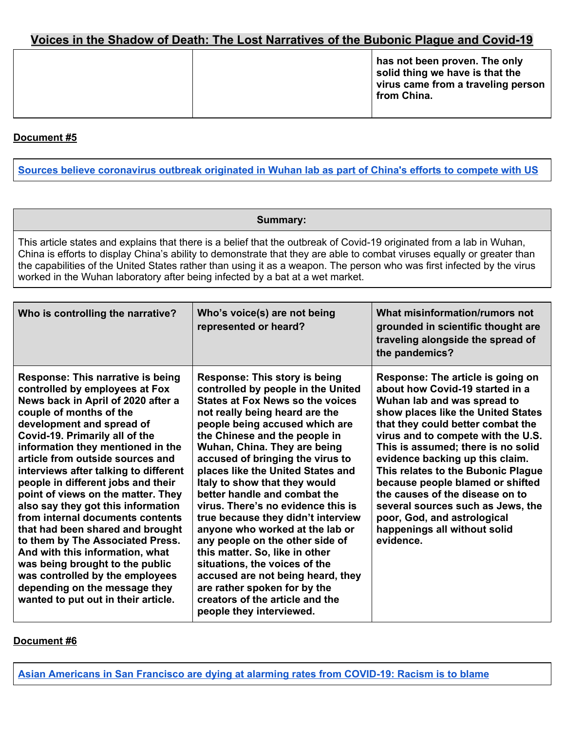## **Document #5**

Sources believe [coronavirus](https://www.foxnews.com/politics/coronavirus-wuhan-lab-china-compete-us-sources) outbreak originated in Wuhan lab as part of China's efforts to compete with US

#### **Summary:**

This article states and explains that there is a belief that the outbreak of Covid-19 originated from a lab in Wuhan, China is efforts to display China's ability to demonstrate that they are able to combat viruses equally or greater than the capabilities of the United States rather than using it as a weapon. The person who was first infected by the virus worked in the Wuhan laboratory after being infected by a bat at a wet market.

| Who is controlling the narrative?                                                                                                                                                                                                                                                                                                                                                                                                                                                                                                                                                                                                                                                                                                           | Who's voice(s) are not being<br>represented or heard?                                                                                                                                                                                                                                                                                                                                                                                                                                                                                                                                                                                                                                                                                                         | What misinformation/rumors not<br>grounded in scientific thought are<br>traveling alongside the spread of<br>the pandemics?                                                                                                                                                                                                                                                                                                                                                                                                 |
|---------------------------------------------------------------------------------------------------------------------------------------------------------------------------------------------------------------------------------------------------------------------------------------------------------------------------------------------------------------------------------------------------------------------------------------------------------------------------------------------------------------------------------------------------------------------------------------------------------------------------------------------------------------------------------------------------------------------------------------------|---------------------------------------------------------------------------------------------------------------------------------------------------------------------------------------------------------------------------------------------------------------------------------------------------------------------------------------------------------------------------------------------------------------------------------------------------------------------------------------------------------------------------------------------------------------------------------------------------------------------------------------------------------------------------------------------------------------------------------------------------------------|-----------------------------------------------------------------------------------------------------------------------------------------------------------------------------------------------------------------------------------------------------------------------------------------------------------------------------------------------------------------------------------------------------------------------------------------------------------------------------------------------------------------------------|
| <b>Response: This narrative is being</b><br>controlled by employees at Fox<br>News back in April of 2020 after a<br>couple of months of the<br>development and spread of<br>Covid-19. Primarily all of the<br>information they mentioned in the<br>article from outside sources and<br>interviews after talking to different<br>people in different jobs and their<br>point of views on the matter. They<br>also say they got this information<br>from internal documents contents<br>that had been shared and brought<br>to them by The Associated Press.<br>And with this information, what<br>was being brought to the public<br>was controlled by the employees<br>depending on the message they<br>wanted to put out in their article. | <b>Response: This story is being</b><br>controlled by people in the United<br><b>States at Fox News so the voices</b><br>not really being heard are the<br>people being accused which are<br>the Chinese and the people in<br>Wuhan, China. They are being<br>accused of bringing the virus to<br>places like the United States and<br>Italy to show that they would<br>better handle and combat the<br>virus. There's no evidence this is<br>true because they didn't interview<br>anyone who worked at the lab or<br>any people on the other side of<br>this matter. So, like in other<br>situations, the voices of the<br>accused are not being heard, they<br>are rather spoken for by the<br>creators of the article and the<br>people they interviewed. | Response: The article is going on<br>about how Covid-19 started in a<br>Wuhan lab and was spread to<br>show places like the United States<br>that they could better combat the<br>virus and to compete with the U.S.<br>This is assumed; there is no solid<br>evidence backing up this claim.<br>This relates to the Bubonic Plague<br>because people blamed or shifted<br>the causes of the disease on to<br>several sources such as Jews, the<br>poor, God, and astrological<br>happenings all without solid<br>evidence. |

#### **Document #6**

**Asian [Americans](https://www.usatoday.com/in-depth/news/nation/2020/10/18/coronavirus-asian-americans-racism-death-rates-san-francisco/5799617002/) in San Francisco are dying at alarming rates from COVID-19: Racism is to blame**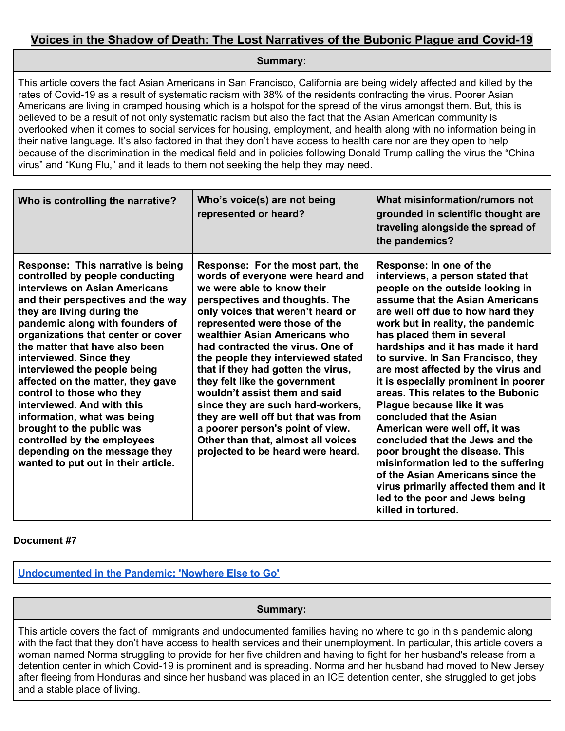**Summary:**

This article covers the fact Asian Americans in San Francisco, California are being widely affected and killed by the rates of Covid-19 as a result of systematic racism with 38% of the residents contracting the virus. Poorer Asian Americans are living in cramped housing which is a hotspot for the spread of the virus amongst them. But, this is believed to be a result of not only systematic racism but also the fact that the Asian American community is overlooked when it comes to social services for housing, employment, and health along with no information being in their native language. It's also factored in that they don't have access to health care nor are they open to help because of the discrimination in the medical field and in policies following Donald Trump calling the virus the "China virus" and "Kung Flu," and it leads to them not seeking the help they may need.

| Who is controlling the narrative?                                                                                                                                                                                                                                                                                                                                                                                                                                                                                                                                                                                  | Who's voice(s) are not being<br>represented or heard?                                                                                                                                                                                                                                                                                                                                                                                                                                                                                                                                                                    | What misinformation/rumors not<br>grounded in scientific thought are<br>traveling alongside the spread of<br>the pandemics?                                                                                                                                                                                                                                                                                                                                                                                                                                                                                                                                                                                                                                                            |
|--------------------------------------------------------------------------------------------------------------------------------------------------------------------------------------------------------------------------------------------------------------------------------------------------------------------------------------------------------------------------------------------------------------------------------------------------------------------------------------------------------------------------------------------------------------------------------------------------------------------|--------------------------------------------------------------------------------------------------------------------------------------------------------------------------------------------------------------------------------------------------------------------------------------------------------------------------------------------------------------------------------------------------------------------------------------------------------------------------------------------------------------------------------------------------------------------------------------------------------------------------|----------------------------------------------------------------------------------------------------------------------------------------------------------------------------------------------------------------------------------------------------------------------------------------------------------------------------------------------------------------------------------------------------------------------------------------------------------------------------------------------------------------------------------------------------------------------------------------------------------------------------------------------------------------------------------------------------------------------------------------------------------------------------------------|
| Response: This narrative is being<br>controlled by people conducting<br>interviews on Asian Americans<br>and their perspectives and the way<br>they are living during the<br>pandemic along with founders of<br>organizations that center or cover<br>the matter that have also been<br>interviewed. Since they<br>interviewed the people being<br>affected on the matter, they gave<br>control to those who they<br>interviewed. And with this<br>information, what was being<br>brought to the public was<br>controlled by the employees<br>depending on the message they<br>wanted to put out in their article. | Response: For the most part, the<br>words of everyone were heard and<br>we were able to know their<br>perspectives and thoughts. The<br>only voices that weren't heard or<br>represented were those of the<br>wealthier Asian Americans who<br>had contracted the virus. One of<br>the people they interviewed stated<br>that if they had gotten the virus,<br>they felt like the government<br>wouldn't assist them and said<br>since they are such hard-workers,<br>they are well off but that was from<br>a poorer person's point of view.<br>Other than that, almost all voices<br>projected to be heard were heard. | Response: In one of the<br>interviews, a person stated that<br>people on the outside looking in<br>assume that the Asian Americans<br>are well off due to how hard they<br>work but in reality, the pandemic<br>has placed them in several<br>hardships and it has made it hard<br>to survive. In San Francisco, they<br>are most affected by the virus and<br>it is especially prominent in poorer<br>areas. This relates to the Bubonic<br>Plague because like it was<br>concluded that the Asian<br>American were well off, it was<br>concluded that the Jews and the<br>poor brought the disease. This<br>misinformation led to the suffering<br>of the Asian Americans since the<br>virus primarily affected them and it<br>led to the poor and Jews being<br>killed in tortured. |

## **Document #7**

**[Undocumented](https://pulitzercenter.org/reporting/undocumented-pandemic-nowhere-else-go) in the Pandemic: 'Nowhere Else to Go'**

**Summary:**

This article covers the fact of immigrants and undocumented families having no where to go in this pandemic along with the fact that they don't have access to health services and their unemployment. In particular, this article covers a woman named Norma struggling to provide for her five children and having to fight for her husband's release from a detention center in which Covid-19 is prominent and is spreading. Norma and her husband had moved to New Jersey after fleeing from Honduras and since her husband was placed in an ICE detention center, she struggled to get jobs and a stable place of living.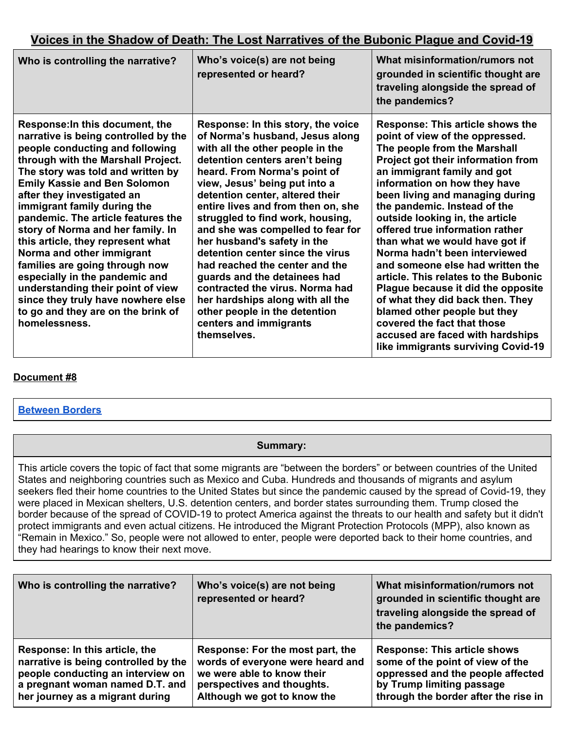| Who is controlling the narrative?                                                                                                                                                                                                                                                                                                                                                                                                                                                                                                                                                                                                            | Who's voice(s) are not being<br>represented or heard?                                                                                                                                                                                                                                                                                                                                                                                                                                                                                                                                                                                                | What misinformation/rumors not<br>grounded in scientific thought are<br>traveling alongside the spread of<br>the pandemics?                                                                                                                                                                                                                                                                                                                                                                                                                                                                                                                                                                                         |
|----------------------------------------------------------------------------------------------------------------------------------------------------------------------------------------------------------------------------------------------------------------------------------------------------------------------------------------------------------------------------------------------------------------------------------------------------------------------------------------------------------------------------------------------------------------------------------------------------------------------------------------------|------------------------------------------------------------------------------------------------------------------------------------------------------------------------------------------------------------------------------------------------------------------------------------------------------------------------------------------------------------------------------------------------------------------------------------------------------------------------------------------------------------------------------------------------------------------------------------------------------------------------------------------------------|---------------------------------------------------------------------------------------------------------------------------------------------------------------------------------------------------------------------------------------------------------------------------------------------------------------------------------------------------------------------------------------------------------------------------------------------------------------------------------------------------------------------------------------------------------------------------------------------------------------------------------------------------------------------------------------------------------------------|
| Response: In this document, the<br>narrative is being controlled by the<br>people conducting and following<br>through with the Marshall Project.<br>The story was told and written by<br><b>Emily Kassie and Ben Solomon</b><br>after they investigated an<br>immigrant family during the<br>pandemic. The article features the<br>story of Norma and her family. In<br>this article, they represent what<br>Norma and other immigrant<br>families are going through now<br>especially in the pandemic and<br>understanding their point of view<br>since they truly have nowhere else<br>to go and they are on the brink of<br>homelessness. | Response: In this story, the voice<br>of Norma's husband, Jesus along<br>with all the other people in the<br>detention centers aren't being<br>heard. From Norma's point of<br>view, Jesus' being put into a<br>detention center, altered their<br>entire lives and from then on, she<br>struggled to find work, housing,<br>and she was compelled to fear for<br>her husband's safety in the<br>detention center since the virus<br>had reached the center and the<br>guards and the detainees had<br>contracted the virus. Norma had<br>her hardships along with all the<br>other people in the detention<br>centers and immigrants<br>themselves. | Response: This article shows the<br>point of view of the oppressed.<br>The people from the Marshall<br>Project got their information from<br>an immigrant family and got<br>information on how they have<br>been living and managing during<br>the pandemic. Instead of the<br>outside looking in, the article<br>offered true information rather<br>than what we would have got if<br>Norma hadn't been interviewed<br>and someone else had written the<br>article. This relates to the Bubonic<br>Plague because it did the opposite<br>of what they did back then. They<br>blamed other people but they<br>covered the fact that those<br>accused are faced with hardships<br>like immigrants surviving Covid-19 |

## **Document #8**

## **[Between](https://pulitzercenter.org/reporting/between-borders-0) Borders**

## **Summary:**

This article covers the topic of fact that some migrants are "between the borders" or between countries of the United States and neighboring countries such as Mexico and Cuba. Hundreds and thousands of migrants and asylum seekers fled their home countries to the United States but since the pandemic caused by the spread of Covid-19, they were placed in Mexican shelters, U.S. detention centers, and border states surrounding them. Trump closed the border because of the spread of COVID-19 to protect America against the threats to our health and safety but it didn't protect immigrants and even actual citizens. He introduced the Migrant Protection Protocols (MPP), also known as "Remain in Mexico." So, people were not allowed to enter, people were deported back to their home countries, and they had hearings to know their next move.

| Who is controlling the narrative?    | Who's voice(s) are not being<br>represented or heard? | What misinformation/rumors not<br>grounded in scientific thought are<br>traveling alongside the spread of<br>the pandemics? |
|--------------------------------------|-------------------------------------------------------|-----------------------------------------------------------------------------------------------------------------------------|
| Response: In this article, the       | Response: For the most part, the                      | <b>Response: This article shows</b>                                                                                         |
| narrative is being controlled by the | words of everyone were heard and                      | some of the point of view of the                                                                                            |
| people conducting an interview on    | we were able to know their                            | oppressed and the people affected                                                                                           |
| a pregnant woman named D.T. and      | perspectives and thoughts.                            | by Trump limiting passage                                                                                                   |
| her journey as a migrant during      | Although we got to know the                           | through the border after the rise in                                                                                        |